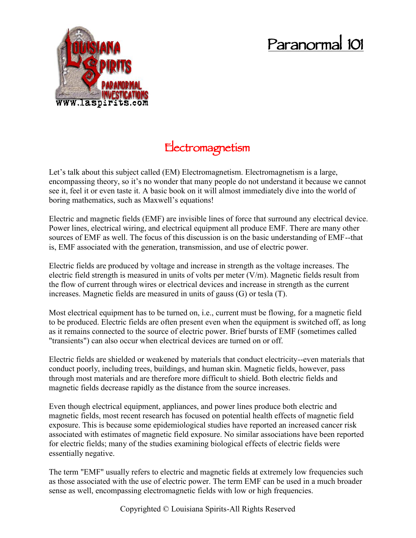## **Paranormal 101**



## **Electromagnetism**

Let's talk about this subject called (EM) Electromagnetism. Electromagnetism is a large, encompassing theory, so it's no wonder that many people do not understand it because we cannot see it, feel it or even taste it. A basic book on it will almost immediately dive into the world of boring mathematics, such as Maxwell's equations!

Electric and magnetic fields (EMF) are invisible lines of force that surround any electrical device. Power lines, electrical wiring, and electrical equipment all produce EMF. There are many other sources of EMF as well. The focus of this discussion is on the basic understanding of EMF--that is, EMF associated with the generation, transmission, and use of electric power.

Electric fields are produced by voltage and increase in strength as the voltage increases. The electric field strength is measured in units of volts per meter (V/m). Magnetic fields result from the flow of current through wires or electrical devices and increase in strength as the current increases. Magnetic fields are measured in units of gauss (G) or tesla (T).

Most electrical equipment has to be turned on, i.e., current must be flowing, for a magnetic field to be produced. Electric fields are often present even when the equipment is switched off, as long as it remains connected to the source of electric power. Brief bursts of EMF (sometimes called "transients") can also occur when electrical devices are turned on or off.

Electric fields are shielded or weakened by materials that conduct electricity--even materials that conduct poorly, including trees, buildings, and human skin. Magnetic fields, however, pass through most materials and are therefore more difficult to shield. Both electric fields and magnetic fields decrease rapidly as the distance from the source increases.

Even though electrical equipment, appliances, and power lines produce both electric and magnetic fields, most recent research has focused on potential health effects of magnetic field exposure. This is because some epidemiological studies have reported an increased cancer risk associated with estimates of magnetic field exposure. No similar associations have been reported for electric fields; many of the studies examining biological effects of electric fields were essentially negative.

The term "EMF" usually refers to electric and magnetic fields at extremely low frequencies such as those associated with the use of electric power. The term EMF can be used in a much broader sense as well, encompassing electromagnetic fields with low or high frequencies.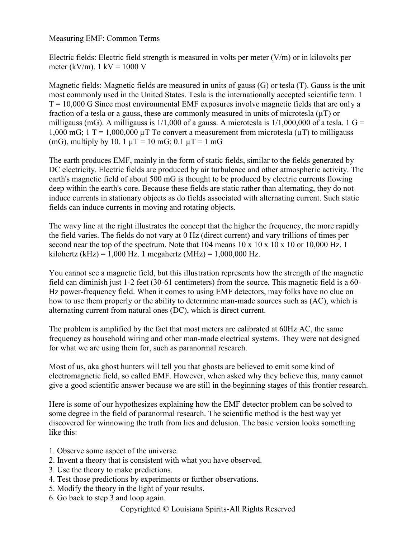Measuring EMF: Common Terms

Electric fields: Electric field strength is measured in volts per meter (V/m) or in kilovolts per meter (kV/m).  $1 \text{ kV} = 1000 \text{ V}$ 

Magnetic fields: Magnetic fields are measured in units of gauss (G) or tesla (T). Gauss is the unit most commonly used in the United States. Tesla is the internationally accepted scientific term. 1  $T = 10,000$  G Since most environmental EMF exposures involve magnetic fields that are only a fraction of a tesla or a gauss, these are commonly measured in units of microtesla  $(\mu T)$  or milligauss (mG). A milligauss is  $1/1,000$  of a gauss. A microtesla is  $1/1,000,000$  of a tesla. 1 G = 1,000 mG; 1 T = 1,000,000 uT To convert a measurement from microtesla (uT) to milligauss (mG), multiply by 10. 1  $\mu$ T = 10 mG; 0.1  $\mu$ T = 1 mG

The earth produces EMF, mainly in the form of static fields, similar to the fields generated by DC electricity. Electric fields are produced by air turbulence and other atmospheric activity. The earth's magnetic field of about 500 mG is thought to be produced by electric currents flowing deep within the earth's core. Because these fields are static rather than alternating, they do not induce currents in stationary objects as do fields associated with alternating current. Such static fields can induce currents in moving and rotating objects.

The wavy line at the right illustrates the concept that the higher the frequency, the more rapidly the field varies. The fields do not vary at 0 Hz (direct current) and vary trillions of times per second near the top of the spectrum. Note that 104 means 10 x 10 x 10 x 10 or 10,000 Hz. 1 kilohertz (kHz) = 1,000 Hz. 1 megahertz (MHz) = 1,000,000 Hz.

You cannot see a magnetic field, but this illustration represents how the strength of the magnetic field can diminish just 1-2 feet (30-61 centimeters) from the source. This magnetic field is a 60- Hz power-frequency field. When it comes to using EMF detectors, may folks have no clue on how to use them properly or the ability to determine man-made sources such as (AC), which is alternating current from natural ones (DC), which is direct current.

The problem is amplified by the fact that most meters are calibrated at 60Hz AC, the same frequency as household wiring and other man-made electrical systems. They were not designed for what we are using them for, such as paranormal research.

Most of us, aka ghost hunters will tell you that ghosts are believed to emit some kind of electromagnetic field, so called EMF. However, when asked why they believe this, many cannot give a good scientific answer because we are still in the beginning stages of this frontier research.

Here is some of our hypothesizes explaining how the EMF detector problem can be solved to some degree in the field of paranormal research. The scientific method is the best way yet discovered for winnowing the truth from lies and delusion. The basic version looks something like this:

- 1. Observe some aspect of the universe.
- 2. Invent a theory that is consistent with what you have observed.
- 3. Use the theory to make predictions.
- 4. Test those predictions by experiments or further observations.
- 5. Modify the theory in the light of your results.
- 6. Go back to step 3 and loop again.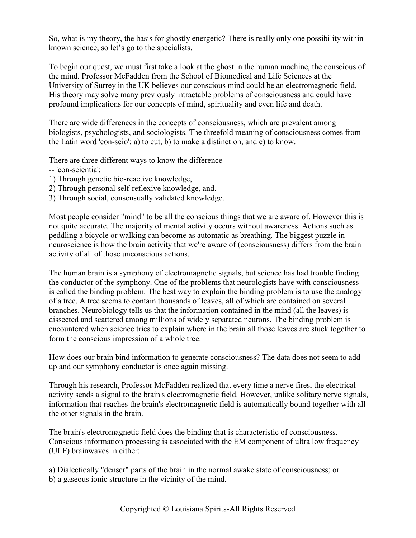So, what is my theory, the basis for ghostly energetic? There is really only one possibility within known science, so let's go to the specialists.

To begin our quest, we must first take a look at the ghost in the human machine, the conscious of the mind. Professor McFadden from the School of Biomedical and Life Sciences at the University of Surrey in the UK believes our conscious mind could be an electromagnetic field. His theory may solve many previously intractable problems of consciousness and could have profound implications for our concepts of mind, spirituality and even life and death.

There are wide differences in the concepts of consciousness, which are prevalent among biologists, psychologists, and sociologists. The threefold meaning of consciousness comes from the Latin word 'con-scio': a) to cut, b) to make a distinction, and c) to know.

There are three different ways to know the difference

- -- 'con-scientia':
- 1) Through genetic bio-reactive knowledge,
- 2) Through personal self-reflexive knowledge, and,
- 3) Through social, consensually validated knowledge.

Most people consider "mind" to be all the conscious things that we are aware of. However this is not quite accurate. The majority of mental activity occurs without awareness. Actions such as peddling a bicycle or walking can become as automatic as breathing. The biggest puzzle in neuroscience is how the brain activity that we're aware of (consciousness) differs from the brain activity of all of those unconscious actions.

The human brain is a symphony of electromagnetic signals, but science has had trouble finding the conductor of the symphony. One of the problems that neurologists have with consciousness is called the binding problem. The best way to explain the binding problem is to use the analogy of a tree. A tree seems to contain thousands of leaves, all of which are contained on several branches. Neurobiology tells us that the information contained in the mind (all the leaves) is dissected and scattered among millions of widely separated neurons. The binding problem is encountered when science tries to explain where in the brain all those leaves are stuck together to form the conscious impression of a whole tree.

How does our brain bind information to generate consciousness? The data does not seem to add up and our symphony conductor is once again missing.

Through his research, Professor McFadden realized that every time a nerve fires, the electrical activity sends a signal to the brain's electromagnetic field. However, unlike solitary nerve signals, information that reaches the brain's electromagnetic field is automatically bound together with all the other signals in the brain.

The brain's electromagnetic field does the binding that is characteristic of consciousness. Conscious information processing is associated with the EM component of ultra low frequency (ULF) brainwaves in either:

a) Dialectically "denser" parts of the brain in the normal awake state of consciousness; or b) a gaseous ionic structure in the vicinity of the mind.